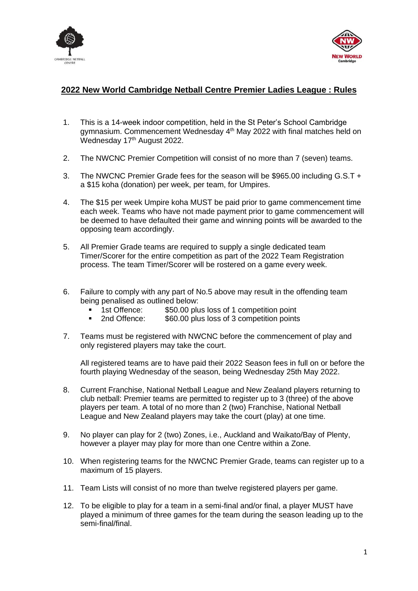



## **2022 New World Cambridge Netball Centre Premier Ladies League : Rules**

- 1. This is a 14-week indoor competition, held in the St Peter's School Cambridge gymnasium. Commencement Wednesday 4<sup>th</sup> May 2022 with final matches held on Wednesday 17<sup>th</sup> August 2022.
- 2. The NWCNC Premier Competition will consist of no more than 7 (seven) teams.
- 3. The NWCNC Premier Grade fees for the season will be \$965.00 including G.S.T + a \$15 koha (donation) per week, per team, for Umpires.
- 4. The \$15 per week Umpire koha MUST be paid prior to game commencement time each week. Teams who have not made payment prior to game commencement will be deemed to have defaulted their game and winning points will be awarded to the opposing team accordingly.
- 5. All Premier Grade teams are required to supply a single dedicated team Timer/Scorer for the entire competition as part of the 2022 Team Registration process. The team Timer/Scorer will be rostered on a game every week.
- 6. Failure to comply with any part of No.5 above may result in the offending team being penalised as outlined below:
	- 1st Offence: \$50.00 plus loss of 1 competition point
	- 2nd Offence: \$60.00 plus loss of 3 competition points
- 7. Teams must be registered with NWCNC before the commencement of play and only registered players may take the court.

All registered teams are to have paid their 2022 Season fees in full on or before the fourth playing Wednesday of the season, being Wednesday 25th May 2022.

- 8. Current Franchise, National Netball League and New Zealand players returning to club netball: Premier teams are permitted to register up to 3 (three) of the above players per team. A total of no more than 2 (two) Franchise, National Netball League and New Zealand players may take the court (play) at one time.
- 9. No player can play for 2 (two) Zones, i.e., Auckland and Waikato/Bay of Plenty, however a player may play for more than one Centre within a Zone.
- 10. When registering teams for the NWCNC Premier Grade, teams can register up to a maximum of 15 players.
- 11. Team Lists will consist of no more than twelve registered players per game.
- 12. To be eligible to play for a team in a semi-final and/or final, a player MUST have played a minimum of three games for the team during the season leading up to the semi-final/final.